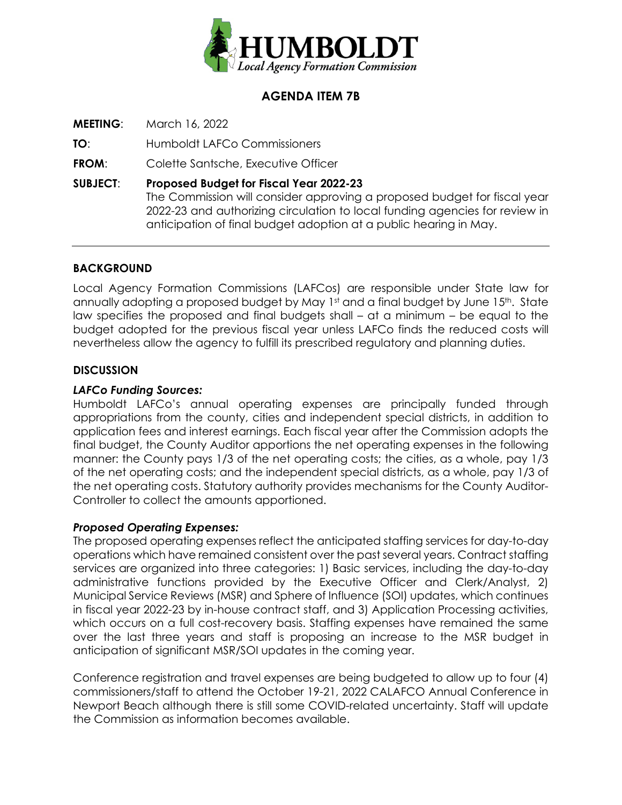

# **AGENDA ITEM 7B**

**MEETING**: March 16, 2022

**TO**: Humboldt LAFCo Commissioners

**FROM**: Colette Santsche, Executive Officer

**SUBJECT**: **Proposed Budget for Fiscal Year 2022-23** The Commission will consider approving a proposed budget for fiscal year 2022-23 and authorizing circulation to local funding agencies for review in anticipation of final budget adoption at a public hearing in May.

## **BACKGROUND**

Local Agency Formation Commissions (LAFCos) are responsible under State law for annually adopting a proposed budget by May 1st and a final budget by June 15th. State law specifies the proposed and final budgets shall – at a minimum – be equal to the budget adopted for the previous fiscal year unless LAFCo finds the reduced costs will nevertheless allow the agency to fulfill its prescribed regulatory and planning duties.

## **DISCUSSION**

## *LAFCo Funding Sources:*

Humboldt LAFCo's annual operating expenses are principally funded through appropriations from the county, cities and independent special districts, in addition to application fees and interest earnings. Each fiscal year after the Commission adopts the final budget, the County Auditor apportions the net operating expenses in the following manner: the County pays 1/3 of the net operating costs; the cities, as a whole, pay 1/3 of the net operating costs; and the independent special districts, as a whole, pay 1/3 of the net operating costs. Statutory authority provides mechanisms for the County Auditor-Controller to collect the amounts apportioned.

## *Proposed Operating Expenses:*

The proposed operating expenses reflect the anticipated staffing services for day-to-day operations which have remained consistent over the past several years. Contract staffing services are organized into three categories: 1) Basic services, including the day-to-day administrative functions provided by the Executive Officer and Clerk/Analyst, 2) Municipal Service Reviews (MSR) and Sphere of Influence (SOI) updates, which continues in fiscal year 2022-23 by in-house contract staff, and 3) Application Processing activities, which occurs on a full cost-recovery basis. Staffing expenses have remained the same over the last three years and staff is proposing an increase to the MSR budget in anticipation of significant MSR/SOI updates in the coming year.

Conference registration and travel expenses are being budgeted to allow up to four (4) commissioners/staff to attend the October 19-21, 2022 CALAFCO Annual Conference in Newport Beach although there is still some COVID-related uncertainty. Staff will update the Commission as information becomes available.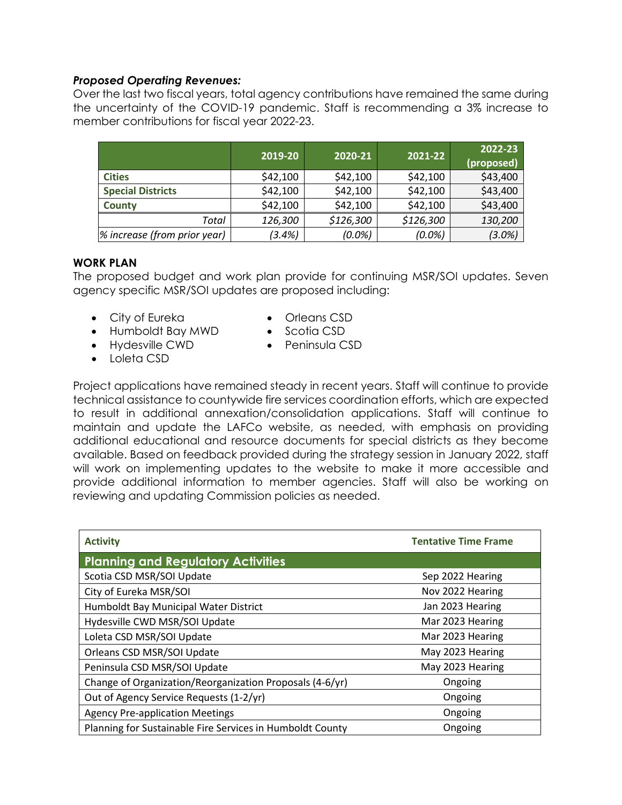#### *Proposed Operating Revenues:*

Over the last two fiscal years, total agency contributions have remained the same during the uncertainty of the COVID-19 pandemic. Staff is recommending a 3% increase to member contributions for fiscal year 2022-23.

|                              | 2019-20   | 2020-21   | 2021-22   | 2022-23<br>(proposed) |
|------------------------------|-----------|-----------|-----------|-----------------------|
| <b>Cities</b>                | \$42,100  | \$42,100  | \$42,100  | \$43,400              |
| <b>Special Districts</b>     | \$42,100  | \$42,100  | \$42,100  | \$43,400              |
| <b>County</b>                | \$42,100  | \$42,100  | \$42,100  | \$43,400              |
| Total                        | 126,300   | \$126,300 | \$126,300 | 130,200               |
| % increase (from prior year) | $(3.4\%)$ | $(0.0\%)$ | $(0.0\%)$ | $(3.0\%)$             |

#### **WORK PLAN**

The proposed budget and work plan provide for continuing MSR/SOI updates. Seven agency specific MSR/SOI updates are proposed including:

- City of Eureka
- Humboldt Bay MWD
- Hydesville CWD
- Orleans CSD
- Scotia CSD
- Peninsula CSD

• Loleta CSD

Project applications have remained steady in recent years. Staff will continue to provide technical assistance to countywide fire services coordination efforts, which are expected to result in additional annexation/consolidation applications. Staff will continue to maintain and update the LAFCo website, as needed, with emphasis on providing additional educational and resource documents for special districts as they become available. Based on feedback provided during the strategy session in January 2022, staff will work on implementing updates to the website to make it more accessible and provide additional information to member agencies. Staff will also be working on reviewing and updating Commission policies as needed.

| <b>Activity</b>                                           | <b>Tentative Time Frame</b> |  |  |
|-----------------------------------------------------------|-----------------------------|--|--|
| <b>Planning and Regulatory Activities</b>                 |                             |  |  |
| Scotia CSD MSR/SOI Update                                 | Sep 2022 Hearing            |  |  |
| City of Eureka MSR/SOI                                    | Nov 2022 Hearing            |  |  |
| Humboldt Bay Municipal Water District                     | Jan 2023 Hearing            |  |  |
| Hydesville CWD MSR/SOI Update                             | Mar 2023 Hearing            |  |  |
| Loleta CSD MSR/SOI Update                                 | Mar 2023 Hearing            |  |  |
| Orleans CSD MSR/SOI Update                                | May 2023 Hearing            |  |  |
| Peninsula CSD MSR/SOI Update                              | May 2023 Hearing            |  |  |
| Change of Organization/Reorganization Proposals (4-6/yr)  | Ongoing                     |  |  |
| Out of Agency Service Requests (1-2/yr)                   | Ongoing                     |  |  |
| <b>Agency Pre-application Meetings</b>                    | Ongoing                     |  |  |
| Planning for Sustainable Fire Services in Humboldt County | Ongoing                     |  |  |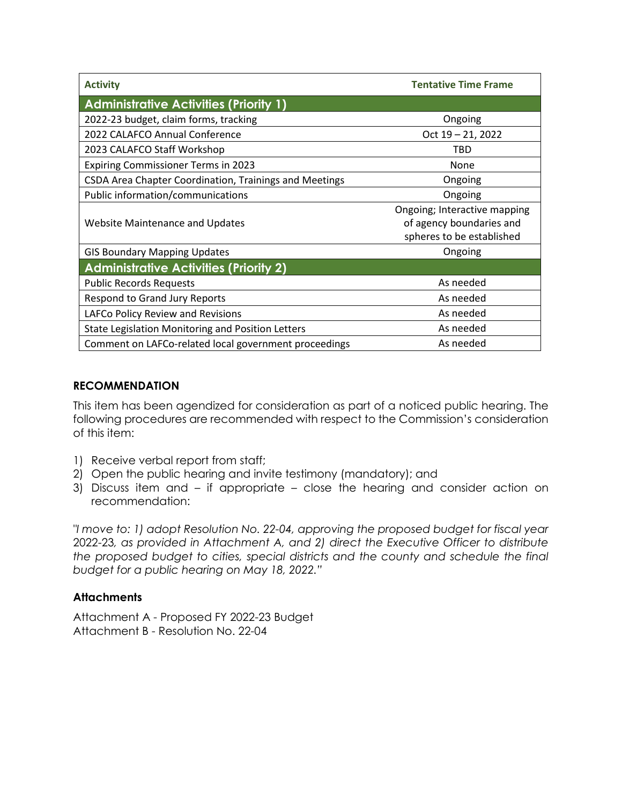| <b>Activity</b>                                        | <b>Tentative Time Frame</b>                                                           |  |  |  |  |
|--------------------------------------------------------|---------------------------------------------------------------------------------------|--|--|--|--|
| <b>Administrative Activities (Priority 1)</b>          |                                                                                       |  |  |  |  |
| 2022-23 budget, claim forms, tracking                  | Ongoing                                                                               |  |  |  |  |
| 2022 CALAFCO Annual Conference                         | Oct 19 - 21, 2022                                                                     |  |  |  |  |
| 2023 CALAFCO Staff Workshop                            | <b>TBD</b>                                                                            |  |  |  |  |
| <b>Expiring Commissioner Terms in 2023</b>             | None                                                                                  |  |  |  |  |
| CSDA Area Chapter Coordination, Trainings and Meetings | Ongoing                                                                               |  |  |  |  |
| Public information/communications                      | Ongoing                                                                               |  |  |  |  |
| <b>Website Maintenance and Updates</b>                 | Ongoing; Interactive mapping<br>of agency boundaries and<br>spheres to be established |  |  |  |  |
| <b>GIS Boundary Mapping Updates</b>                    | Ongoing                                                                               |  |  |  |  |
| <b>Administrative Activities (Priority 2)</b>          |                                                                                       |  |  |  |  |
| <b>Public Records Requests</b>                         | As needed                                                                             |  |  |  |  |
| Respond to Grand Jury Reports                          | As needed                                                                             |  |  |  |  |
| LAFCo Policy Review and Revisions                      | As needed                                                                             |  |  |  |  |
| State Legislation Monitoring and Position Letters      | As needed                                                                             |  |  |  |  |
| Comment on LAFCo-related local government proceedings  | As needed                                                                             |  |  |  |  |

## **RECOMMENDATION**

This item has been agendized for consideration as part of a noticed public hearing. The following procedures are recommended with respect to the Commission's consideration of this item:

- 1) Receive verbal report from staff;
- 2) Open the public hearing and invite testimony (mandatory); and
- 3) Discuss item and if appropriate close the hearing and consider action on recommendation:

*"I move to: 1) adopt Resolution No. 22-04, approving the proposed budget for fiscal year*  2022-23*, as provided in Attachment A, and 2) direct the Executive Officer to distribute the proposed budget to cities, special districts and the county and schedule the final budget for a public hearing on May 18, 2022."* 

## **Attachments**

Attachment A - Proposed FY 2022-23 Budget Attachment B - Resolution No. 22-04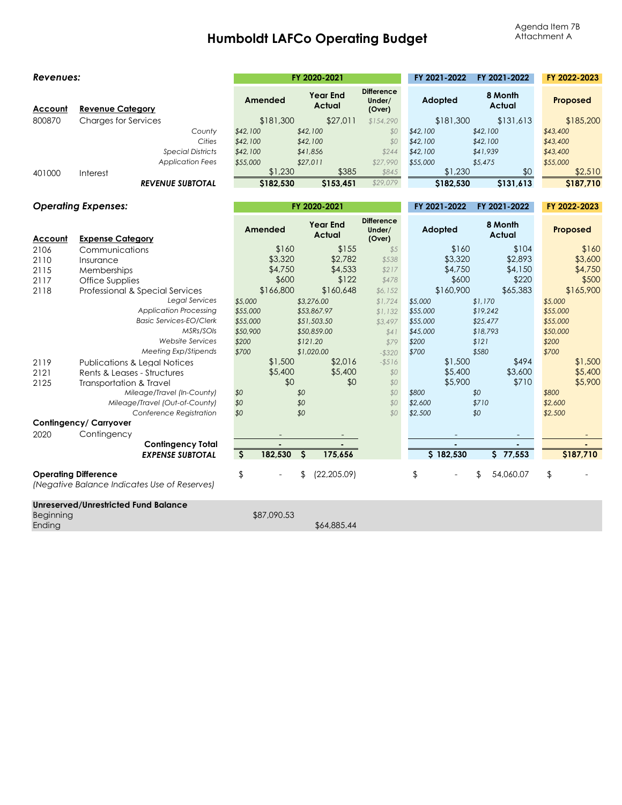# **Humboldt LAFCo Operating Budget**

| Revenues:                  |                                                                             | FY 2020-2021            |                                  | FY 2021-2022                          | FY 2021-2022 | FY 2022-2023      |           |
|----------------------------|-----------------------------------------------------------------------------|-------------------------|----------------------------------|---------------------------------------|--------------|-------------------|-----------|
| <u>Account</u>             | <b>Revenue Category</b>                                                     | Amended                 | <b>Year End</b><br><b>Actual</b> | <b>Difference</b><br>Under/<br>(Over) | Adopted      | 8 Month<br>Actual | Proposed  |
| 800870                     | <b>Charges for Services</b>                                                 | \$181,300               | \$27,011                         | \$154,290                             | \$181,300    | \$131,613         | \$185,200 |
|                            | County                                                                      | \$42,100                | \$42,100                         | \$0                                   | \$42,100     | \$42,100          | \$43,400  |
|                            | Cities                                                                      | \$42,100                | \$42,100                         | \$0                                   | \$42,100     | \$42,100          | \$43,400  |
|                            | <b>Special Districts</b>                                                    | \$42,100                | \$41,856                         | \$244                                 | \$42,100     | \$41,939          | \$43,400  |
|                            | <b>Application Fees</b>                                                     | \$55,000                | \$27,011                         | \$27,990                              | \$55,000     | \$5,475           | \$55,000  |
| 401000                     | Interest                                                                    | \$1,230                 | \$385                            | \$845                                 | \$1,230      | \$0               | \$2,510   |
|                            | <b>REVENUE SUBTOTAL</b>                                                     | \$182,530               | \$153,451                        | \$29,079                              | \$182,530    | \$131.613         | \$187,710 |
| <b>Operating Expenses:</b> |                                                                             |                         |                                  | FY 2021-2022                          | FY 2021-2022 | FY 2022-2023      |           |
|                            |                                                                             |                         | FY 2020-2021                     |                                       |              |                   |           |
| Account                    | <b>Expense Category</b>                                                     | Amended                 | <b>Year End</b><br>Actual        | <b>Difference</b><br>Under/<br>(Over) | Adopted      | 8 Month<br>Actual | Proposed  |
| 2106                       | Communications                                                              | \$160                   | \$155                            | \$5                                   | \$160        | \$104             | \$160     |
| 2110                       | Insurance                                                                   | \$3,320                 | \$2,782                          | \$538                                 | \$3,320      | \$2,893           | \$3,600   |
| 2115                       | Memberships                                                                 | \$4,750                 | \$4,533                          | \$217                                 | \$4,750      | \$4,150           | \$4,750   |
| 2117                       | Office Supplies                                                             | \$600                   | \$122                            | \$478                                 | \$600        | \$220             | \$500     |
| 2118                       | Professional & Special Services                                             | \$166,800               | \$160,648                        | \$6,152                               | \$160,900    | \$65,383          | \$165,900 |
|                            | Legal Services                                                              | \$5,000                 | \$3,276.00                       | \$1,724                               | \$5,000      | \$1,170           | \$5,000   |
|                            | <b>Application Processing</b>                                               | \$55,000                | \$53,867.97                      | \$1,132                               | \$55,000     | \$19,242          | \$55,000  |
|                            | <b>Basic Services-EO/Clerk</b>                                              | \$55,000                | \$51,503.50                      | \$3,497                               | \$55,000     | \$25,477          | \$55,000  |
|                            | MSRs/SOIs                                                                   | \$50,900                | \$50,859.00                      | \$41                                  | \$45,000     | \$18,793          | \$50,000  |
|                            | <b>Website Services</b>                                                     | \$200                   | \$121.20                         | \$79                                  | \$200        | \$121             | \$200     |
|                            | Meeting Exp/Stipends                                                        | \$700                   | \$1,020.00                       | $-$320$                               | \$700        | \$580             | \$700     |
| 2119                       | <b>Publications &amp; Legal Notices</b>                                     | \$1,500                 | \$2,016                          | $- $516$                              | \$1,500      | \$494             | \$1,500   |
| 2121                       | Rents & Leases - Structures                                                 | \$5,400                 | \$5,400                          | \$0                                   | \$5,400      | \$3,600           | \$5,400   |
| 2125                       | Transportation & Travel                                                     | \$0                     | \$0                              | \$0                                   | \$5,900      | \$710             | \$5,900   |
|                            | Mileage/Travel (In-County)                                                  | \$0                     | \$0                              | \$0                                   | \$800        | \$0               | \$800     |
|                            | Mileage/Travel (Out-of-County)                                              | \$0                     | \$0                              | \$0                                   | \$2,600      | \$710             | \$2,600   |
|                            | Conference Registration                                                     | \$0                     | \$0                              | \$0                                   | \$2,500      | \$0               | \$2,500   |
|                            | Contingency/ Carryover                                                      |                         |                                  |                                       |              |                   |           |
| 2020                       | Contingency                                                                 |                         |                                  |                                       |              |                   |           |
|                            | <b>Contingency Total</b><br><b>EXPENSE SUBTOTAL</b>                         | $\mathsf{S}$<br>182,530 | $\mathsf{S}$<br>175,656          |                                       | \$182,530    | 577,553           | \$187,710 |
|                            | <b>Operating Difference</b><br>(Negative Balance Indicates Use of Reserves) | $\frac{1}{2}$           | (22, 205.09)<br>\$               |                                       | \$           | \$<br>54,060.07   | \$        |
| Beginning<br>Ending        | <b>Unreserved/Unrestricted Fund Balance</b>                                 | \$87,090.53             | \$64,885.44                      |                                       |              |                   |           |